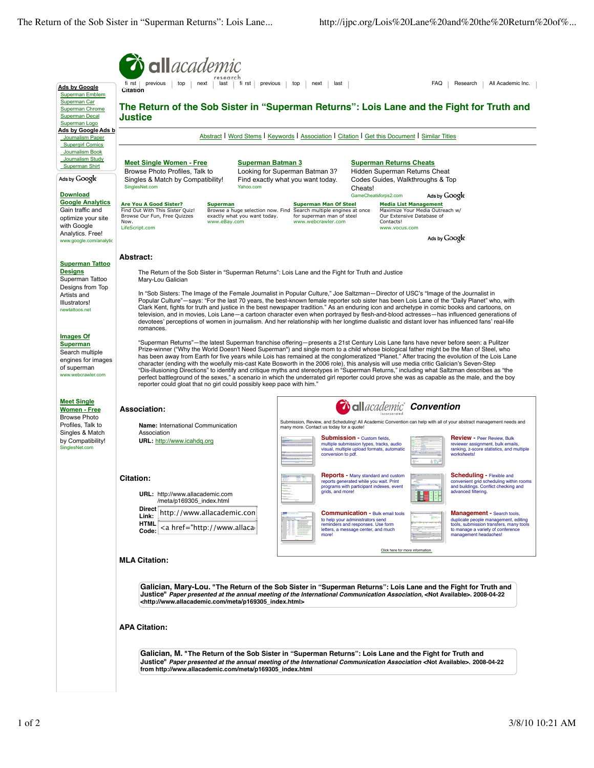